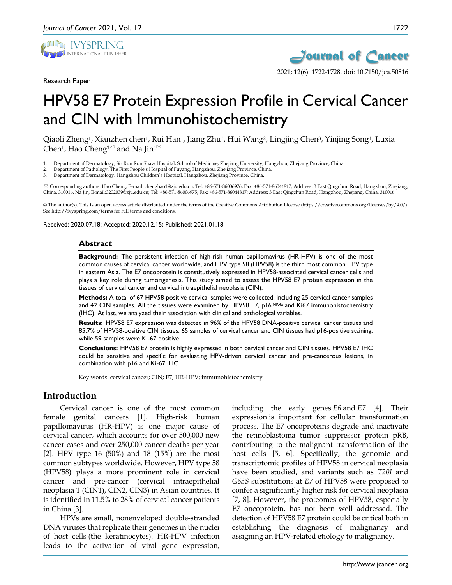

Research Paper



2021; 12(6): 1722-1728. doi: 10.7150/jca.50816

# HPV58 E7 Protein Expression Profile in Cervical Cancer and CIN with Immunohistochemistry

Qiaoli Zheng1, Xianzhen chen1, Rui Han1, Jiang Zhu1, Hui Wang2, Lingjing Chen3, Yinjing Song1, Luxia Chen<sup>1</sup>, Hao Cheng<sup>1 $\boxtimes$ </sup> and Na Jin<sup>1 $\boxtimes$ </sup>

- 1. Department of Dermatology, Sir Run Run Shaw Hospital, School of Medicine, Zhejiang University, Hangzhou, Zhejiang Province, China.
- 2. Department of Pathology, The First People's Hospital of Fuyang, Hangzhou, Zhejiang Province, China.
- 3. Department of Dermatology, Hangzhou Children's Hospital, Hangzhou, Zhejiang Province, China.

 Corresponding authors: Hao Cheng, E-mail: chenghao1@zju.edu.cn; Tel: +86-571-86006976; Fax: +86-571-86044817; Address: 3 East Qingchun Road, Hangzhou, Zhejiang, China, 310016. Na Jin, E-mail:3202039@zju.edu.cn; Tel: +86-571-86006975; Fax: +86-571-86044817; Address: 3 East Qingchun Road, Hangzhou, Zhejiang, China, 310016.

© The author(s). This is an open access article distributed under the terms of the Creative Commons Attribution License (https://creativecommons.org/licenses/by/4.0/). See http://ivyspring.com/terms for full terms and conditions.

Received: 2020.07.18; Accepted: 2020.12.15; Published: 2021.01.18

#### **Abstract**

**Background:** The persistent infection of high-risk human papillomavirus (HR-HPV) is one of the most common causes of cervical cancer worldwide, and HPV type 58 (HPV58) is the third most common HPV type in eastern Asia. The E7 oncoprotein is constitutively expressed in HPV58-associated cervical cancer cells and plays a key role during tumorigenesis. This study aimed to assess the HPV58 E7 protein expression in the tissues of cervical cancer and cervical intraepithelial neoplasia (CIN).

**Methods:** A total of 67 HPV58-positive cervical samples were collected, including 25 cervical cancer samples and 42 CIN samples. All the tissues were examined by HPV58 E7, p16INK4a and Ki67 immunohistochemistry (IHC). At last, we analyzed their association with clinical and pathological variables.

**Results:** HPV58 E7 expression was detected in 96% of the HPV58 DNA-positive cervical cancer tissues and 85.7% of HPV58-positive CIN tissues. 65 samples of cervical cancer and CIN tissues had p16-positive staining, while 59 samples were Ki-67 positive.

**Conclusions:** HPV58 E7 protein is highly expressed in both cervical cancer and CIN tissues. HPV58 E7 IHC could be sensitive and specific for evaluating HPV-driven cervical cancer and pre-cancerous lesions, in combination with p16 and Ki-67 IHC.

Key words: cervical cancer; CIN; E7; HR-HPV; immunohistochemistry

## **Introduction**

Cervical cancer is one of the most common female genital cancers [1]. High-risk human papillomavirus (HR-HPV) is one major cause of cervical cancer, which accounts for over 500,000 new cancer cases and over 250,000 cancer deaths per year [2]. HPV type 16 (50%) and 18 (15%) are the most common subtypes worldwide. However, HPV type 58 (HPV58) plays a more prominent role in cervical cancer and pre-cancer (cervical intraepithelial neoplasia 1 (CIN1), CIN2, CIN3) in Asian countries. It is identified in 11.5% to 28% of cervical cancer patients in China [3].

HPVs are small, nonenveloped double-stranded DNA viruses that replicate their genomes in the nuclei of host cells (the keratinocytes). HR-HPV infection leads to the activation of viral gene expression,

including the early genes *E6* and *E7* [4]. Their expression is important for cellular transformation process. The E7 oncoproteins degrade and inactivate the retinoblastoma tumor suppressor protein pRB, contributing to the malignant transformation of the host cells [5, 6]. Specifically, the genomic and transcriptomic profiles of HPV58 in cervical neoplasia have been studied, and variants such as *T20I* and *G63S* substitutions at *E7* of HPV58 were proposed to confer a significantly higher risk for cervical neoplasia [7, 8]. However, the proteomes of HPV58, especially E7 oncoprotein, has not been well addressed. The detection of HPV58 E7 protein could be critical both in establishing the diagnosis of malignancy and assigning an HPV-related etiology to malignancy.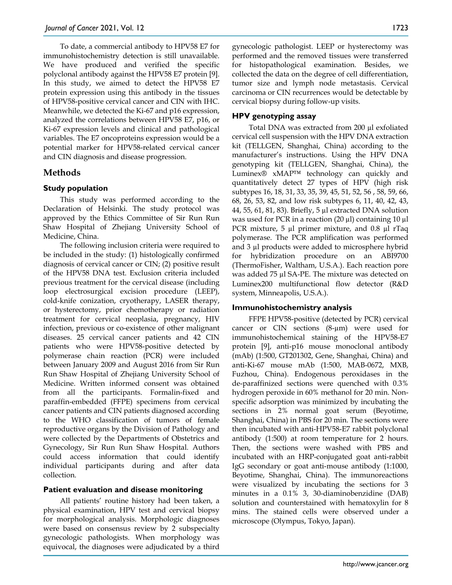To date, a commercial antibody to HPV58 E7 for immunohistochemistry detection is still unavailable. We have produced and verified the specific polyclonal antibody against the HPV58 E7 protein [9]. In this study, we aimed to detect the HPV58 E7 protein expression using this antibody in the tissues of HPV58-positive cervical cancer and CIN with IHC. Meanwhile, we detected the Ki-67 and p16 expression, analyzed the correlations between HPV58 E7, p16, or Ki-67 expression levels and clinical and pathological variables. The E7 oncoproteins expression would be a potential marker for HPV58-related cervical cancer and CIN diagnosis and disease progression.

# **Methods**

## **Study population**

This study was performed according to the Declaration of Helsinki. The study protocol was approved by the Ethics Committee of Sir Run Run Shaw Hospital of Zhejiang University School of Medicine, China.

The following inclusion criteria were required to be included in the study: (1) histologically confirmed diagnosis of cervical cancer or CIN; (2) positive result of the HPV58 DNA test. Exclusion criteria included previous treatment for the cervical disease (including loop electrosurgical excision procedure (LEEP), cold-knife conization, cryotherapy, LASER therapy, or hysterectomy, prior chemotherapy or radiation treatment for cervical neoplasia, pregnancy, HIV infection, previous or co-existence of other malignant diseases. 25 cervical cancer patients and 42 CIN patients who were HPV58-positive detected by polymerase chain reaction (PCR) were included between January 2009 and August 2016 from Sir Run Run Shaw Hospital of Zhejiang University School of Medicine. Written informed consent was obtained from all the participants. Formalin-fixed and paraffin-embedded (FFPE) specimens from cervical cancer patients and CIN patients diagnosed according to the WHO classification of tumors of female reproductive organs by the Division of Pathology and were collected by the Departments of Obstetrics and Gynecology, Sir Run Run Shaw Hospital. Authors could access information that could identify individual participants during and after data collection.

#### **Patient evaluation and disease monitoring**

All patients' routine history had been taken, a physical examination, HPV test and cervical biopsy for morphological analysis. Morphologic diagnoses were based on consensus review by 2 subspecialty gynecologic pathologists. When morphology was equivocal, the diagnoses were adjudicated by a third gynecologic pathologist. LEEP or hysterectomy was performed and the removed tissues were transferred for histopathological examination. Besides, we collected the data on the degree of cell differentiation, tumor size and lymph node metastasis. Cervical carcinoma or CIN recurrences would be detectable by cervical biopsy during follow-up visits.

## **HPV genotyping assay**

Total DNA was extracted from 200 µl exfoliated cervical cell suspension with the HPV DNA extraction kit (TELLGEN, Shanghai, China) according to the manufacturer's instructions. Using the HPV DNA genotyping kit (TELLGEN, Shanghai, China), the Luminex® xMAP™ technology can quickly and quantitatively detect 27 types of HPV (high risk subtypes 16, 18, 31, 33, 35, 39, 45, 51, 52, 56 , 58, 59, 66, 68, 26, 53, 82, and low risk subtypes 6, 11, 40, 42, 43, 44, 55, 61, 81, 83). Briefly, 5 µl extracted DNA solution was used for PCR in a reaction (20  $\mu$ l) containing 10  $\mu$ l PCR mixture, 5 µl primer mixture, and 0.8 µl rTaq polymerase. The PCR amplification was performed and 3 µl products were added to microsphere hybrid for hybridization procedure on an ABI9700 (ThermoFisher, Waltham, U.S.A.). Each reaction pore was added 75 µl SA-PE. The mixture was detected on Luminex200 multifunctional flow detector (R&D system, Minneapolis, U.S.A.).

## **Immunohistochemistry analysis**

FFPE HPV58-positive (detected by PCR) cervical cancer or CIN sections  $(8-\mu m)$  were used for immunohistochemical staining of the HPV58-E7 protein [9], anti-p16 mouse monoclonal antibody (mAb) (1:500, GT201302, Gene, Shanghai, China) and anti-Ki-67 mouse mAb (1:500, MAB-0672, MXB, Fuzhou, China). Endogenous peroxidases in the de-paraffinized sections were quenched with 0.3% hydrogen peroxide in 60% methanol for 20 min. Nonspecific adsorption was minimized by incubating the sections in 2% normal goat serum (Beyotime, Shanghai, China) in PBS for 20 min. The sections were then incubated with anti-HPV58-E7 rabbit polyclonal antibody (1:500) at room temperature for 2 hours. Then, the sections were washed with PBS and incubated with an HRP-conjugated goat anti-rabbit IgG secondary or goat anti-mouse antibody (1:1000, Beyotime, Shanghai, China). The immunoreactions were visualized by incubating the sections for 3 minutes in a 0.1% 3, 30-diaminobenzidine (DAB) solution and counterstained with hematoxylin for 8 mins. The stained cells were observed under a microscope (Olympus, Tokyo, Japan).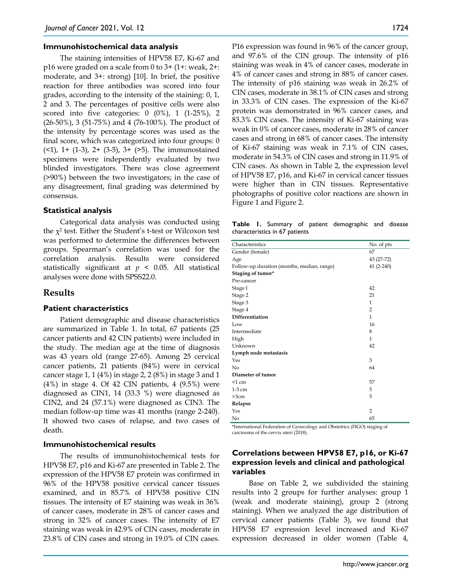#### **Immunohistochemical data analysis**

The staining intensities of HPV58 E7, Ki-67 and p16 were graded on a scale from 0 to 3+ (1+: weak, 2+: moderate, and 3+: strong) [10]. In brief, the positive reaction for three antibodies was scored into four grades, according to the intensity of the staining: 0, 1, 2 and 3. The percentages of positive cells were also scored into five categories:  $0$  (0%),  $1$  (1-25%), 2 (26-50%), 3 (51-75%) and 4 (76-100%). The product of the intensity by percentage scores was used as the final score, which was categorized into four groups: 0  $($   $($   $($   $($   $)$ , 1+  $($ 1 $-3)$ , 2+  $($ 3 $-5)$ , 3+  $($   $>$  $5)$ . The immunostained specimens were independently evaluated by two blinded investigators. There was close agreement (>90%) between the two investigators; in the case of any disagreement, final grading was determined by consensus.

#### **Statistical analysis**

Categorical data analysis was conducted using the  $\chi^2$  test. Either the Student's t-test or Wilcoxon test was performed to determine the differences between groups. Spearman's correlation was used for the correlation analysis. Results were considered statistically significant at *p* < 0.05. All statistical analyses were done with SPSS22.0.

#### **Results**

#### **Patient characteristics**

Patient demographic and disease characteristics are summarized in Table 1. In total, 67 patients (25 cancer patients and 42 CIN patients) were included in the study. The median age at the time of diagnosis was 43 years old (range 27-65). Among 25 cervical cancer patients, 21 patients (84%) were in cervical cancer stage 1, 1 (4%) in stage 2, 2 (8%) in stage 3 and 1 (4%) in stage 4. Of 42 CIN patients, 4 (9.5%) were diagnosed as CIN1, 14 (33.3 %) were diagnosed as CIN2, and 24 (57.1%) were diagnosed as CIN3. The median follow-up time was 41 months (range 2-240). It showed two cases of relapse, and two cases of death.

#### **Immunohistochemical results**

The results of immunohistochemical tests for HPV58 E7, p16 and Ki-67 are presented in Table 2. The expression of the HPV58 E7 protein was confirmed in 96% of the HPV58 positive cervical cancer tissues examined, and in 85.7% of HPV58 positive CIN tissues. The intensity of E7 staining was weak in 36% of cancer cases, moderate in 28% of cancer cases and strong in 32% of cancer cases. The intensity of E7 staining was weak in 42.9% of CIN cases, moderate in 23.8% of CIN cases and strong in 19.0% of CIN cases.

P16 expression was found in 96% of the cancer group, and 97.6% of the CIN group. The intensity of p16 staining was weak in 4% of cancer cases, moderate in 4% of cancer cases and strong in 88% of cancer cases. The intensity of p16 staining was weak in 26.2% of CIN cases, moderate in 38.1% of CIN cases and strong in 33.3% of CIN cases. The expression of the Ki-67 protein was demonstrated in 96% cancer cases, and 83.3% CIN cases. The intensity of Ki-67 staining was weak in 0% of cancer cases, moderate in 28% of cancer cases and strong in 68% of cancer cases. The intensity of Ki-67 staining was weak in 7.1% of CIN cases, moderate in 54.3% of CIN cases and strong in 11.9% of CIN cases. As shown in Table 2, the expression level of HPV58 E7, p16, and Ki-67 in cervical cancer tissues were higher than in CIN tissues. Representative photographs of positive color reactions are shown in Figure 1 and Figure 2.

**Table 1.** Summary of patient demographic and disease characteristics in 67 patients

| Characteristics                            | No. of pts     |  |  |  |  |  |  |  |  |
|--------------------------------------------|----------------|--|--|--|--|--|--|--|--|
| Gender (female)                            | 67             |  |  |  |  |  |  |  |  |
| Age                                        | 43 (27-72)     |  |  |  |  |  |  |  |  |
| Follow-up duration (months, median, range) | 41 (2-240)     |  |  |  |  |  |  |  |  |
| Staging of tumor*                          |                |  |  |  |  |  |  |  |  |
| Pre-cancer                                 |                |  |  |  |  |  |  |  |  |
| Stage I                                    | 42             |  |  |  |  |  |  |  |  |
| Stage 2                                    | 21             |  |  |  |  |  |  |  |  |
| Stage 3                                    | 1              |  |  |  |  |  |  |  |  |
| Stage 4                                    | $\overline{2}$ |  |  |  |  |  |  |  |  |
| Differentiation                            | $\mathbf{1}$   |  |  |  |  |  |  |  |  |
| Low                                        | 16             |  |  |  |  |  |  |  |  |
| Intermediate                               | 8              |  |  |  |  |  |  |  |  |
| High                                       | 1              |  |  |  |  |  |  |  |  |
| Unknown                                    | 42             |  |  |  |  |  |  |  |  |
| Lymph node metastasis                      |                |  |  |  |  |  |  |  |  |
| Yes                                        | 3              |  |  |  |  |  |  |  |  |
| N <sub>o</sub>                             | 64             |  |  |  |  |  |  |  |  |
| Diameter of tumor                          |                |  |  |  |  |  |  |  |  |
| $<1$ cm                                    | 57             |  |  |  |  |  |  |  |  |
| $1-3$ cm                                   | 5              |  |  |  |  |  |  |  |  |
| >3cm                                       | 5              |  |  |  |  |  |  |  |  |
| Relapse                                    |                |  |  |  |  |  |  |  |  |
| Yes                                        | $\overline{2}$ |  |  |  |  |  |  |  |  |
| No                                         | 65             |  |  |  |  |  |  |  |  |

\*International Federation of Gynecology and Obstetrics (FIGO) staging of carcinoma of the cervix uteri (2018).

### **Correlations between HPV58 E7, p16, or Ki-67 expression levels and clinical and pathological variables**

Base on Table 2, we subdivided the staining results into 2 groups for further analyses: group 1 (weak and moderate staining), group 2 (strong staining). When we analyzed the age distribution of cervical cancer patients (Table 3), we found that HPV58 E7 expression level increased and Ki-67 expression decreased in older women (Table 4,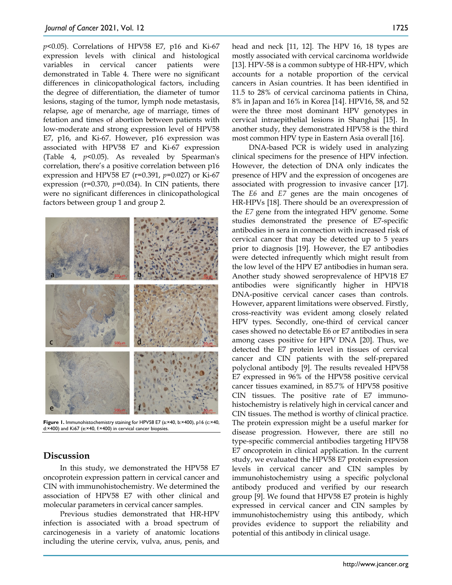*p*<0.05). Correlations of HPV58 E7, p16 and Ki-67 expression levels with clinical and histological variables in cervical cancer patients were demonstrated in Table 4. There were no significant differences in clinicopathological factors, including the degree of differentiation, the diameter of tumor lesions, staging of the tumor, lymph node metastasis, relapse, age of menarche, age of marriage, times of fetation and times of abortion between patients with low-moderate and strong expression level of HPV58 E7, p16, and Ki-67. However, p16 expression was associated with HPV58 E7 and Ki-67 expression (Table 4, *p*<0.05). As revealed by Spearman's correlation, there's a positive correlation between p16 expression and HPV58 E7 (r=0.391, *p*=0.027) or Ki-67 expression (r=0.370, *p*=0.034). In CIN patients, there were no significant differences in clinicopathological factors between group 1 and group 2.



**Figure 1.** Immunohistochemistry staining for HPV58 E7 (a:×40, b:×400), p16 (c:×40, d:×400) and Ki67 (e:×40, f:×400) in cervical cancer biopsies.

# **Discussion**

In this study, we demonstrated the HPV58 E7 oncoprotein expression pattern in cervical cancer and CIN with immunohistochemistry. We determined the association of HPV58 E7 with other clinical and molecular parameters in cervical cancer samples.

Previous studies demonstrated that HR-HPV infection is associated with a broad spectrum of carcinogenesis in a variety of anatomic locations including the uterine cervix, vulva, anus, penis, and

head and neck [11, 12]. The HPV 16, 18 types are mostly associated with cervical carcinoma worldwide [13]. HPV-58 is a common subtype of HR-HPV, which accounts for a notable proportion of the cervical cancers in Asian countries. It has been identified in 11.5 to 28% of cervical carcinoma patients in China, 8% in Japan and 16% in Korea [14]. HPV16, 58, and 52 were the three most dominant HPV genotypes in cervical intraepithelial lesions in Shanghai [15]. In another study, they demonstrated HPV58 is the third most common HPV type in Eastern Asia overall [16].

DNA-based PCR is widely used in analyzing clinical specimens for the presence of HPV infection. However, the detection of DNA only indicates the presence of HPV and the expression of oncogenes are associated with progression to invasive cancer [17]. The *E6* and *E7* genes are the main oncogenes of HR-HPVs [18]. There should be an overexpression of the *E7* gene from the integrated HPV genome. Some studies demonstrated the presence of E7-specific antibodies in sera in connection with increased risk of cervical cancer that may be detected up to 5 years prior to diagnosis [19]. However, the E7 antibodies were detected infrequently which might result from the low level of the HPV E7 antibodies in human sera. Another study showed seroprevalence of HPV18 E7 antibodies were significantly higher in HPV18 DNA-positive cervical cancer cases than controls. However, apparent limitations were observed. Firstly, cross-reactivity was evident among closely related HPV types. Secondly, one-third of cervical cancer cases showed no detectable E6 or E7 antibodies in sera among cases positive for HPV DNA [20]. Thus, we detected the E7 protein level in tissues of cervical cancer and CIN patients with the self-prepared polyclonal antibody [9]. The results revealed HPV58 E7 expressed in 96% of the HPV58 positive cervical cancer tissues examined, in 85.7% of HPV58 positive CIN tissues. The positive rate of E7 immunohistochemistry is relatively high in cervical cancer and CIN tissues. The method is worthy of clinical practice. The protein expression might be a useful marker for disease progression. However, there are still no type-specific commercial antibodies targeting HPV58 E7 oncoprotein in clinical application. In the current study, we evaluated the HPV58 E7 protein expression levels in cervical cancer and CIN samples by immunohistochemistry using a specific polyclonal antibody produced and verified by our research group [9]. We found that HPV58 E7 protein is highly expressed in cervical cancer and CIN samples by immunohistochemistry using this antibody, which provides evidence to support the reliability and potential of this antibody in clinical usage.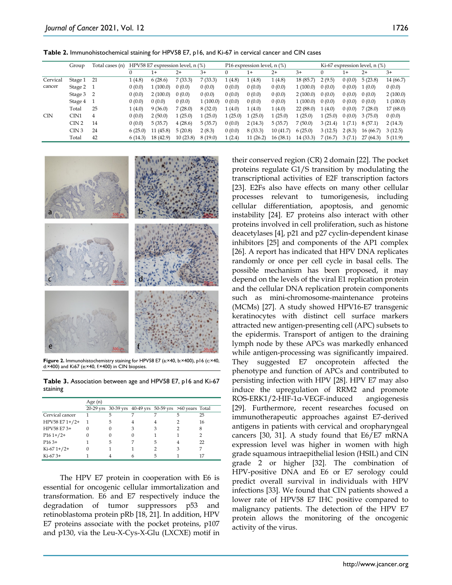**Table 2.** Immunohistochemical staining for HPV58 E7, p16, and Ki-67 in cervical cancer and CIN cases

|            | Group            | Total cases (n) | HPV58 E7 expression level, n (%) |           |          |         | P16 expression level, n (%) |          |          |          | Ki-67 expression level, $n$ $(\%)$ |        |          |           |
|------------|------------------|-----------------|----------------------------------|-----------|----------|---------|-----------------------------|----------|----------|----------|------------------------------------|--------|----------|-----------|
|            |                  |                 |                                  | $1+$      | $2+$     | $3+$    |                             | $1+$     | $2+$     | $3+$     |                                    | $1+$   | $2+$     | $3+$      |
| Cervical   | Stage 1 21       |                 | 1(4.8)                           | 6(28.6)   | 7(33.3)  | 7(33.3) | (4.8)                       | 1(4.8)   | 1(4.8)   | 18(85.7) | 2(9.5)                             | 0(0.0) | 5(23.8)  | 14 (66.7) |
| cancer     | Stage 2          |                 | 0(0.0)                           | (100.0)   | 0(0.0)   | 0(0.0)  | 0(0.0)                      | 0(0.0)   | 0(0.0)   | 1(100.0) | 0(0.0)                             | 0(0.0) | 1(0.0)   | 0(0.0)    |
|            | Stage 3          | $\overline{2}$  | 0(0.0)                           | 2(100.0)  | 0(0.0)   | 0(0.0)  | 0(0.0)                      | 0(0.0)   | 0(0.0)   | 2(100.0) | 0(0.0)                             | 0(0.0) | 0(0.0)   | 2(100.0)  |
|            | Stage 4          |                 | 0(0.0)                           | 0(0.0)    | 0(0.0)   | (100.0) | 0(0.0)                      | 0(0.0)   | 0(0.0)   | 1(100.0) | 0(0.0)                             | 0(0.0) | 0(0.0)   | 1(100.0)  |
|            | Total            | 25              | 1(4.0)                           | 9(36.0)   | 7(28.0)  | 8(32.0) | 1(4.0)                      | 1(4.0)   | 1(4.0)   | 22(88.0) | 1(4.0)                             | 0(0.0) | 7(28.0)  | 17(68.0)  |
| <b>CIN</b> | CIN <sub>1</sub> | 4               | 0(0.0)                           | 2(50.0)   | 1(25.0)  | (25.0)  | (25.0)                      | (25.0)   | 1(25.0)  | 1(25.0)  | 1(25.0)                            | 0(0.0) | 3(75.0)  | 0(0.0)    |
|            | CIN <sub>2</sub> | 14              | 0(0.0)                           | 5(35.7)   | 4(28.6)  | 5(35.7) | 0(0.0)                      | 2(14.3)  | 5(35.7)  | 7(50.0)  | 3(21.4)                            | 1(7.1) | 8(57.1)  | 2(14.3)   |
|            | CIN3             | 24              | 6(25.0)                          | (45.8)    | 5(20.8)  | 2(8.3)  | 0(0.0)                      | 8(33.3)  | 10(41.7) | 6(25.0)  | 3(12.5)                            | 2(8.3) | 16(66.7) | 3(12.5)   |
|            | Total            | 42              | 6(14.3)                          | 18 (42.9) | 10(23.8) | 8(19.0) | (2.4)                       | 11(26.2) | 16(38.1) | 14(33.3) | 7(16.7)                            | 3(7.1) | 27(64.3) | 5(11.9)   |



**Figure 2.** Immunohistochemistry staining for HPV58 E7 (a:×40, b:×400), p16 (c:×40, d:×400) and Ki67 (e:×40, f:×400) in CIN biopsies.

**Table 3.** Association between age and HPV58 E7, p16 and Ki-67 staining

|                 | Age $(n)$ |                                                         |   |   |   |    |
|-----------------|-----------|---------------------------------------------------------|---|---|---|----|
|                 |           | 20-29 yrs 30-39 yrs 40-49 yrs 50-59 yrs >60 years Total |   |   |   |    |
| Cervical cancer |           | 5                                                       |   |   | 5 | 25 |
| HPV58 E7 1+/2+  |           | 5                                                       | 4 |   |   | 16 |
| HPV58 E73+      | $\Omega$  | $\Omega$                                                | 3 | 3 |   | 8  |
| $P161+/2+$      | 0         | 0                                                       |   |   |   |    |
| $P163+$         |           | 5                                                       |   | 5 |   | 22 |
| $Ki-67 1+/2+$   | O         |                                                         |   |   |   |    |
| $Ki-673+$       |           |                                                         |   | 5 |   |    |

The HPV E7 protein in cooperation with E6 is essential for oncogenic cellular immortalization and transformation. E6 and E7 respectively induce the degradation of tumor suppressors p53 and retinoblastoma protein pRb [18, 21]. In addition, HPV E7 proteins associate with the pocket proteins, p107 and p130, via the Leu-X-Cys-X-Glu (LXCXE) motif in

their conserved region (CR) 2 domain [22]. The pocket proteins regulate G1/S transition by modulating the transcriptional activities of E2F transcription factors [23]. E2Fs also have effects on many other cellular processes relevant to tumorigenesis, including cellular differentiation, apoptosis, and genomic instability [24]. E7 proteins also interact with other proteins involved in cell proliferation, such as histone deacetylases [4], p21 and p27 cyclin-dependent kinase inhibitors [25] and components of the AP1 complex [26]. A report has indicated that HPV DNA replicates randomly or once per cell cycle in basal cells. The possible mechanism has been proposed, it may depend on the levels of the viral E1 replication protein and the cellular DNA replication protein components such as mini-chromosome-maintenance proteins (MCMs) [27]. A study showed HPV16-E7 transgenic keratinocytes with distinct cell surface markers attracted new antigen-presenting cell (APC) subsets to the epidermis. Transport of antigen to the draining lymph node by these APCs was markedly enhanced while antigen-processing was significantly impaired. They suggested E7 oncoprotein affected the phenotype and function of APCs and contributed to persisting infection with HPV [28]. HPV E7 may also induce the upregulation of RRM2 and promote ROS-ERK1/2-HIF-1α-VEGF-induced angiogenesis [29]. Furthermore, recent researches focused on immunotherapeutic approaches against E7-derived antigens in patients with cervical and oropharyngeal cancers [30, 31]. A study found that E6/E7 mRNA expression level was higher in women with high grade squamous intraepithelial lesion (HSIL) and CIN grade 2 or higher [32]. The combination of HPV-positive DNA and E6 or E7 serology could predict overall survival in individuals with HPV infections [33]. We found that CIN patients showed a lower rate of HPV58 E7 IHC positive compared to malignancy patients. The detection of the HPV E7 protein allows the monitoring of the oncogenic activity of the virus.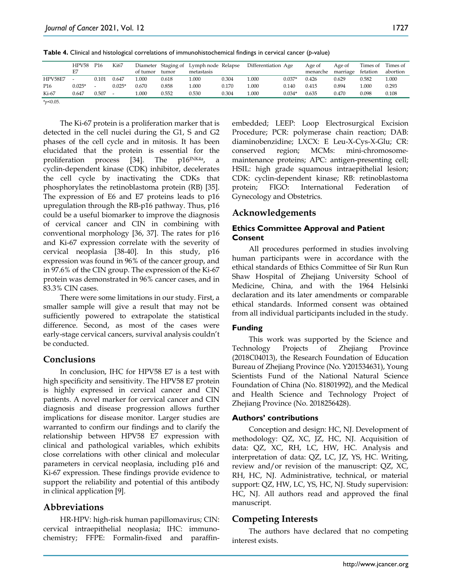**Table 4.** Clinical and histological correlations of immunohistochemical findings in cervical cancer (*p*-value)

|                 | HPV58 P16<br>F7 |       | Ki67     | of tumor | tumor | Diameter Staging of Lymph node Relapse<br>metastasis |       | Differentiation Age |          | Age of<br>menarche | Age of<br>marriage | Times of Times of<br>fetation | abortion |
|-----------------|-----------------|-------|----------|----------|-------|------------------------------------------------------|-------|---------------------|----------|--------------------|--------------------|-------------------------------|----------|
| HPV58E7         | $\sim$          | 0.101 | 0.647    | 000      | 0.618 | 1.000                                                | 0.304 | 1.000               | $0.037*$ | 0.426              | 0.629              | 0.582                         | 1.000    |
| P <sub>16</sub> | $0.025*$        |       | $0.025*$ | 0.670    | 0.858 | 1.000                                                | 0.170 | 1.000               | 0.140    | 0.415              | 0.894              | L.000                         | 0.293    |
| Ki-67           | 0.647           | 0.507 |          | .000     | 0.552 | 0.530                                                | 0.304 | 1.000               | $0.034*$ | 0.635              | 0.470              | 0.098                         | 0.108    |
| $*_{p<0.05}$ .  |                 |       |          |          |       |                                                      |       |                     |          |                    |                    |                               |          |

The Ki-67 protein is a proliferation marker that is detected in the cell nuclei during the G1, S and G2 phases of the cell cycle and in mitosis. It has been elucidated that the protein is essential for the proliferation process [34]. The p16INK4a, a cyclin-dependent kinase (CDK) inhibitor, decelerates the cell cycle by inactivating the CDKs that phosphorylates the retinoblastoma protein (RB) [35]. The expression of E6 and E7 proteins leads to p16 upregulation through the RB-p16 pathway. Thus, p16 could be a useful biomarker to improve the diagnosis of cervical cancer and CIN in combining with conventional morphology [36, 37]. The rates for p16 and Ki-67 expression correlate with the severity of cervical neoplasia [38-40]. In this study, p16 expression was found in 96% of the cancer group, and in 97.6% of the CIN group. The expression of the Ki-67 protein was demonstrated in 96% cancer cases, and in 83.3% CIN cases.

There were some limitations in our study. First, a smaller sample will give a result that may not be sufficiently powered to extrapolate the statistical difference. Second, as most of the cases were early-stage cervical cancers, survival analysis couldn't be conducted.

# **Conclusions**

In conclusion, IHC for HPV58 E7 is a test with high specificity and sensitivity. The HPV58 E7 protein is highly expressed in cervical cancer and CIN patients. A novel marker for cervical cancer and CIN diagnosis and disease progression allows further implications for disease monitor. Larger studies are warranted to confirm our findings and to clarify the relationship between HPV58 E7 expression with clinical and pathological variables, which exhibits close correlations with other clinical and molecular parameters in cervical neoplasia, including p16 and Ki-67 expression. These findings provide evidence to support the reliability and potential of this antibody in clinical application [9].

# **Abbreviations**

HR-HPV: high-risk human papillomavirus; CIN: cervical intraepithelial neoplasia; IHC: immunochemistry; FFPE: Formalin-fixed and paraffinembedded; LEEP: Loop Electrosurgical Excision Procedure; PCR: polymerase chain reaction; DAB: diaminobenzidine; LXCX: E Leu-X-Cys-X-Glu; CR: conserved region; MCMs: mini-chromosomemaintenance proteins; APC: antigen-presenting cell; HSIL: high grade squamous intraepithelial lesion; CDK: cyclin-dependent kinase; RB: retinoblastoma protein; FIGO: International Federation of Gynecology and Obstetrics.

# **Acknowledgements**

## **Ethics Committee Approval and Patient Consent**

All procedures performed in studies involving human participants were in accordance with the ethical standards of Ethics Committee of Sir Run Run Shaw Hospital of Zhejiang University School of Medicine, China, and with the 1964 Helsinki declaration and its later amendments or comparable ethical standards. Informed consent was obtained from all individual participants included in the study.

# **Funding**

This work was supported by the Science and Technology Projects of Zhejiang Province (2018C04013), the Research Foundation of Education Bureau of Zhejiang Province (No. Y201534631), Young Scientists Fund of the National Natural Science Foundation of China (No. 81801992), and the Medical and Health Science and Technology Project of Zhejiang Province (No. 2018256428).

# **Authors' contributions**

Conception and design: HC, NJ. Development of methodology: QZ, XC, JZ, HC, NJ. Acquisition of data: QZ, XC, RH, LC, HW, HC. Analysis and interpretation of data: QZ, LC, JZ, YS, HC. Writing, review and/or revision of the manuscript: QZ, XC, RH, HC, NJ. Administrative, technical, or material support: QZ, HW, LC, YS, HC, NJ. Study supervision: HC, NJ. All authors read and approved the final manuscript.

# **Competing Interests**

The authors have declared that no competing interest exists.